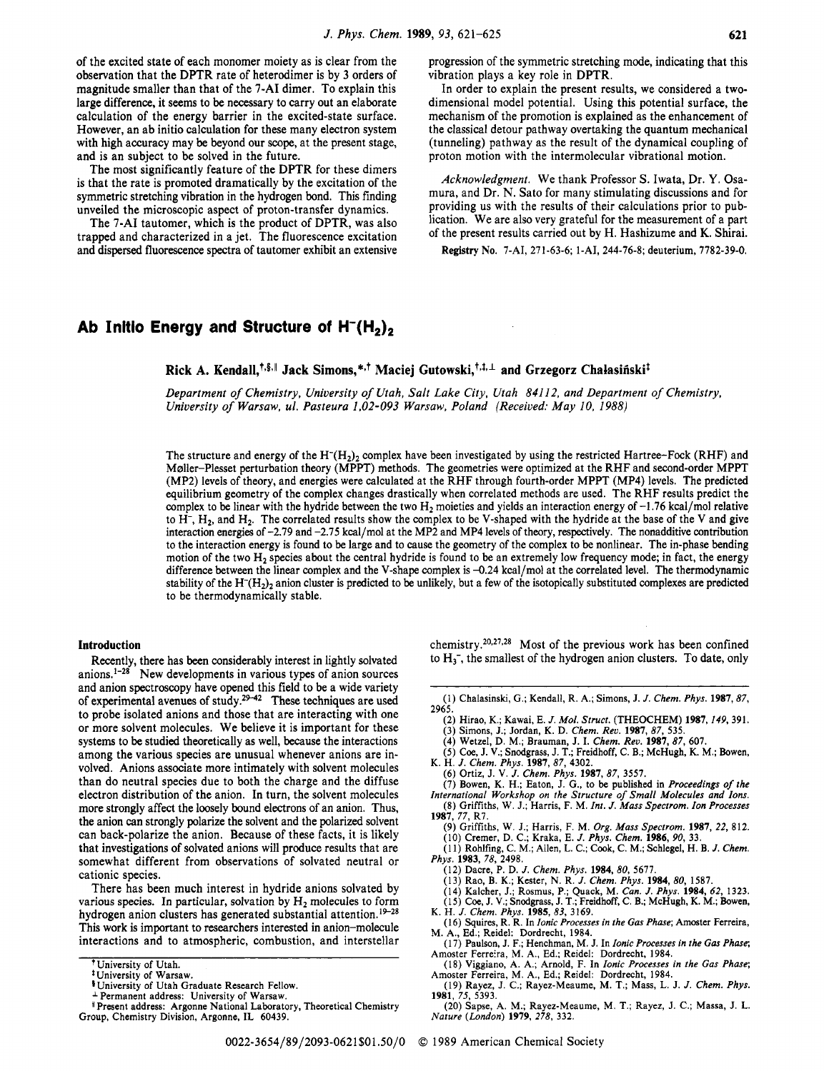of the excited state of each monomer moiety as is clear from the observation that the DPTR rate of hetercdimer is by **3** orders of magnitude smaller than that of the **7-AI** dimer. To explain this

large difference, it seems to be necessary to carry out an elaborate calculation of the energy barrier in the excited-state surface. However, an ab initio calculation for these many electron system with high accuracy may be beyond our **scope,** at the present stage, and is an subject to be solved in the future.

The most significantly feature of the DPTR for these dimers is that the rate is promoted dramatically by the excitation of the symmetric stretching vibration in the hydrogen bond. This finding unveiled the microscopic aspect of proton-transfer dynamics.

The **7-AI** tautomer, which is the product of DPTR, was also trapped and characterized in a jet. The fluorescence excitation and dispersed fluorescence spectra of tautomer exhibit an extensive progression of the symmetric stretching mode, indicating that this vibration plays a key role in DPTR.

In order to explain the present results, we considered a twodimensional model potential. Using this potential surface, the mechanism of the promotion is explained as the enhancement of the classical detour pathway overtaking the quantum mechanical (tunneling) pathway as the result of the dynamical coupling of proton motion with the intermolecular vibrational motion.

*Acknowledgment.* We thank Professor S. Iwata, Dr. Y. Osamura, and **Dr.** N. Sato for many stimulating discussions and for providing us with the results of their calculations prior to publication. We are also very grateful for the measurement of a part of the present results carried out by H. Hashizume and **K.** Shirai.

**Registry No. 7-AI,** 27 1-63-6; 1-AI, 244-76-8; deuterium, 7782-39-0.

# Ab Initio Energy and Structure of H<sup>-</sup>(H<sub>2</sub>)<sub>2</sub>

Rick A. Kendall,<sup>†,§,|</sup> Jack Simons,\*<sup>,†</sup> Maciej Gutowski,<sup>†,‡,⊥</sup> and Grzegorz Chałasiński<sup>‡</sup>

*Department of Chemistry, University of Utah, Salt Lake City, Utah 84112, and Department of Chemistry, University of Warsaw, ul. Pasteura 1.02-093 Warsaw, Poland (Received: May 10, 1988)* 

The structure and energy of the  $H^{-}(H_{2})_2$  complex have been investigated by using the restricted Hartree-Fock (RHF) and Mdler-Plesset perturbation theory (MPPT) methods. The geometries were optimized at the RHF and second-order MPPT (MP2) levels of theory, and energies were calculated at the RHF through fourth-order MPPT (MP4) levels. The predicted equilibrium geometry of the complex changes drastically when correlated methods are used. The RHF results predict the complex to be linear with the hydride between the two  $H_2$  moieties and yields an interaction energy of  $-1.76$  kcal/mol relative to H-, Hz, and H2. The correlated results show the complex to be V-shaped with the hydride at the base of the **V** and give interaction energies of -2.79 and -2.75 kcal/mol at the MP2 and MP4 levels of theory, respectively. The nonadditive contribution to the interaction energy is found to be large and to cause the geometry of the complex to be nonlinear. The in-phase bending motion of the two H<sub>2</sub> species about the central hydride is found to be an extremely low frequency mode; in fact, the energy difference between the linear complex and the V-shape complex is -0.24 kcal/mol at the correlated level. The thermodynamic stability of the  $H^{-}(H_2)$ <sub>2</sub> anion cluster is predicted to be unlikely, but a few of the isotopically substituted complexes are predicted to be thermodynamically stable.

### **Introduction**

Recently, there has **been** considerably interest in lightly solvated anions.<sup>1-28</sup> New developments in various types of anion sources and anion spectroscopy have opened this field to be a wide variety of experimental avenues of study.<sup>29-42</sup> These techniques are used to probe isolated anions and those that are interacting with one or more solvent molecules. We believe it is important for these systems to be studied theoretically as well, because the interactions among the various species are unusual whenever anions are involved. Anions associate more intimately with solvent molecules than do neutral species due to both the charge and the diffuse electron distribution of the anion. **In** turn, the solvent molecules more strongly affect the loosely bound electrons of an anion. Thus, the anion **can** strongly polarize the solvent and the polarized solvent can back-polarize the anion. Because of these facts, it is likely that investigations of solvated anions will produce results that are somewhat different from observations of solvated neutral or cationic species.

There has been much interest in hydride anions solvated by various species. In particular, solvation by H<sub>2</sub> molecules to form hydrogen anion clusters has generated substantial attention.<sup>19-28</sup> This **work** is important to researchers interested in anion-molecule interactions and to atmospheric, combustion, and interstellar chemistry.<sup>20,27,28</sup> Most of the previous work has been confined to **H3-,** the smallest of the hydrogen anion clusters. To date, only

- (1) Chalasinski, G.; Kendall, R. A.; Simons, J. *J. Chem. Phys.* **1987,** 87, 2965.
	- (2) Hirao, K.; Kawai, E. *J. Mol. Struct.* (THEOCHEM) **1987**, *149*, 391.<br>(3) Simons, J.; Jordan, K. D. *Chem. Rev.* **1987**, 87, 535.<br>(4) Wetzel, D. M.; Brauman, J. I. *Chem. Rev.* **1987**, 87, 607.
	-
- (5) Coe, J. V.; Snodgrass, J. T.; Freidhoff, C. B.; McHugh, K. M.; Bowen, K. H. J. *Chem. Phys.* 1987,87,4302.
- (6) Ortiz, J. V. J. *Chem. Phys.* **1987,** 87, 3557.
- 
- (7) Bowen, K. H.; Eaton, J. G., to be published in *Proceedings of the International Workshop on the Structure of Small Molecules and Ions.*<br>(8) Griffiths, W. J.; Harris, F. M. Int. J. Mass Spectrom. Ion Processes
- **1987,** 77, R7. (9) Griffiths, W. J.; Harris, F. M. *Org. Mass Spectrom.* **1987,** *22,* 812.
	-
	- (10) Cremer, D. C.; Kraka, E. *J. Phys. Chem.* **1986**, 90, 33.<br>(11) Rohlfing, C. M.; Allen, L. C.; Cook, C. M.; Schlegel, H. B. *J. Chem.*
- *Phys.* **1983**, 78, 2498.<br>
(12) Dacre, P. D. J. *Chem. Phys.* **1984**, 80, 5677.
	-
	-
- (13) Rao, B. K.; Kester, N. R. J. Chem. Phys. 1984, 80, 1587.<br>
(14) Kalcher, J.; Rosmus, P.; Quack, M. Can. J. Phys. 1984, 62, 1323.<br>
(15) Coe, J. V.; Snodgrass, J. T.; Freidhoff, C. B.; McHugh, K. M.; Bowen, K. H. J. Chem
- ( 16) Squires, R. R. **In** *Ionic Processes in the Gas Phase;* Amoster Ferreira,
- M. A., Ed.; Reidel: Dordrecht, 1984.<br>
(17) Paulson, J. F.; Henchman, M. J. In *Ionic Processes in the Gas Phase*; Amoster Ferreira, M. A., Ed.; Reidel: Dordrecht, 1984.

(20) Sapse, A. M.; Rayez-Meaume, M. T.; Rayez, J. C.; Massa, J. **L.**  *Nature (London)* **1979,** *278,* 332.

University of Utah.

<sup>&#</sup>x27;University of Warsaw.

<sup>&#</sup>x27;University of Utah Graduate Research Fellow. Permanent address: University of Warsaw.

<sup>1</sup>Present address: Argonne National Laboratory, Theoretical Chemistry Group, Chemistry Division, Argonne, **IL** 60439.

<sup>(18)</sup> Viggiano, A. A,; Arnold, **F. In** *Ionic Processes in the Gas Phase;*  Amoster Ferreira, M. A., Ed.; Reidel: Dordrecht, 1984.

<sup>(19)</sup> Rayez, J. C.; Rayez-Meaume, M. T.; Mass, L. J. J. *Chem. Phys.*  **1981,** 75, 5393.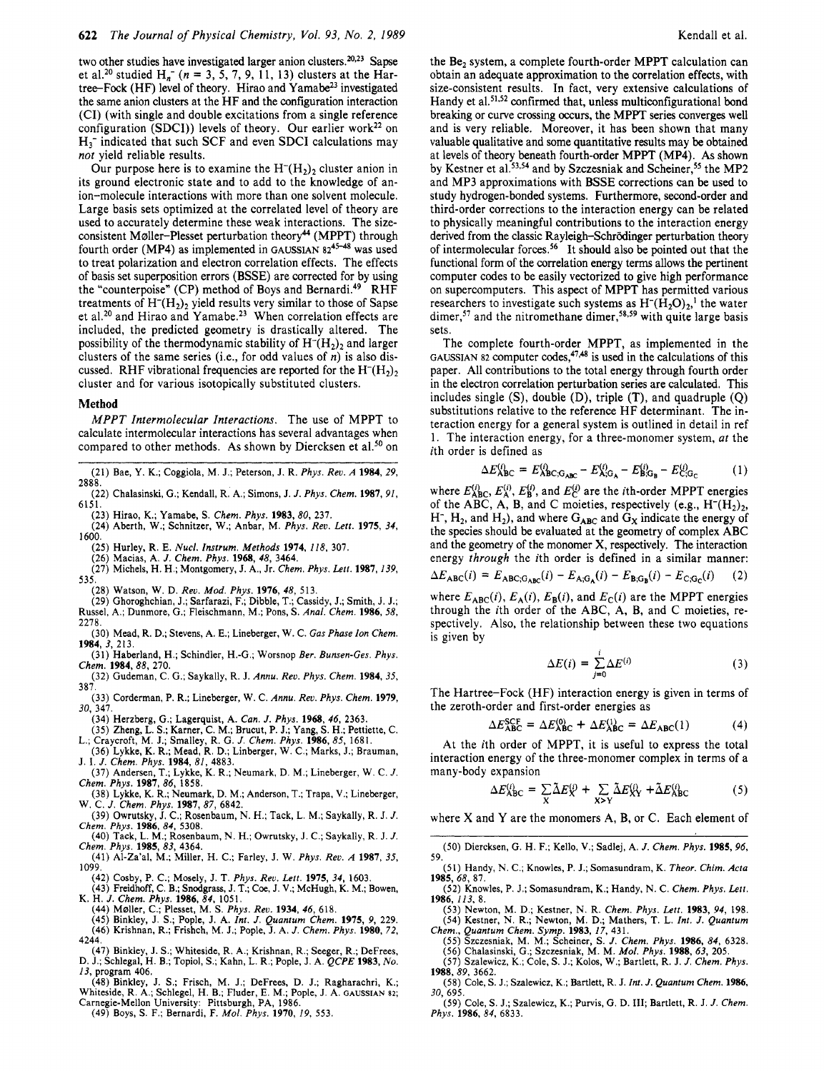two other studies have investigated larger anion clusters. $20,23$  Sapse et al.<sup>20</sup> studied  $H_n^-$  ( $n = 3, 5, 7, 9, 11, 13$ ) clusters at the Hartree-Fock (HF) level of theory. Hirao and Yamabe<sup>23</sup> investigated the same anion clusters at the HF and the configuration interaction (CI) (with single and double excitations from a single reference configuration (SDCI)) levels of theory. Our earlier work<sup>22</sup> on  $H_3^-$  indicated that such SCF and even SDCI calculations may *not* yield reliable results.

Our purpose here is to examine the  $H<sup>-</sup>(H<sub>2</sub>)<sub>2</sub>$  cluster anion in its ground electronic state and to add to the knowledge of anion-molecule interactions with more than one solvent molecule. Large basis sets optimized at the correlated level of theory are used to accurately determine these weak interactions. The sizeconsistent Møller-Plesset perturbation theory<sup>44</sup> (MPPT) through fourth order (MP4) as implemented in GAUSSIAN 82<sup>45-48</sup> was used to treat polarization and electron correlation effects. The effects of basis set superposition errors (BSSE) are corrected for by using the "counterpoise" (CP) method of Boys and Bernardi.<sup>49</sup> RHF treatments of  $H<sup>-</sup>(H<sub>2</sub>)<sub>2</sub>$  yield results very similar to those of Sapse et al.<sup>20</sup> and Hirao and Yamabe.<sup>23</sup> When correlation effects are included, the predicted geometry is drastically altered. The possibility of the thermodynamic stability of  $H<sup>-</sup>(H<sub>2</sub>)$ , and larger clusters of the same series (i.e., for odd values of *n*) is also discussed. RHF vibrational frequencies are reported for the  $H<sup>-</sup>(H<sub>2</sub>)<sub>2</sub>$ cluster and for various isotopically substituted clusters.

#### **Method**

*MPPT Intermolecular Interactions.* The use of MPPT to calculate intermolecular interactions has several advantages when compared to other methods. As shown by Diercksen et al.<sup>50</sup> on

- **(21) Bae,** *Y.* **K.; Coggiola, M. J.; Peterson, J. R.** *Phys. Reu. A* **1984, 29, 2888.**
- **(22) Chalasinski, G.; Kendall, R. A.; Simons, J.** *J. Phys. Chem.* **1987, 91, 6151.**
- **(23) Hirao, K.; Yamabe, S.** *Chem. Phys.* **1983,80, 237.**
- **(24) Aberth, W.; Schnitzer, W.; Anbar, M.** *Phys. Reu. Lett.* **1975, 34,**  1600.
- **(25) Hurley, R. E.** *Nucl. Instrum. Methods* **1974, 118, 307.**
- **(26) Macias, A.** *J. Chem. Phys.* **1968, 48, 3464.**
- **(27) Michels, H. H.; Montgomery, J. A,, Jr.** *Chem. Phys. Lett.* **1987, 139, 535.**
- **(28) Watson, W. D.** *Rev. Mod. Phys.* **1976, 48, 513.**
- **(29) Ghoroghchian, J.; Sarfarazi, F.; Dibble, T.; Cassidy, J.; Smith,** J. **J.; Russel, A,; Dunmore, G.; Fleischmann, M.; Pons, S.** *Anal. Chem.* **1986,** *58,*
- **2278. (30) Mead, R. D.; Stevens, A. E.; Lineberger, W. C.** *Gas Phase Ion Chem.*  **1984, 3, 213.**
- **(31) Haberland, H.; Schindler, H.-G.; Worsnop** *Ber. Bunsen-Ges. Phys. Chem.* **1984,88, 270.**
- **(32) Gudeman, C. G.; Saykally, R. J.** *Annu. Reu. Phys. Chem.* **1984,35, 387.**
- **(33) Corderman, P. R.; Lineberger, W. C.** *Annu. Rev. Phys. Chem.* **1979, 30, 341.**
- **(34) Herzberg, G.; Lagerquist, A.** *Can. J. Phys.* **1968, 46, 2363.**
- **(35) Zheng, L. S.; Karner, C. M.; Brucut, P. J.; Yang, S. H.; Pettiette, C. L.; Craycroft, M. J.; Smalley, R. G.** *J. Chem. Phys.* **1986, 85, 1681.**
- **(36) Lykke, K. R.; Mead, R. D.; Linberger, W. C.; Marks,** J.; **Brauman, J. I.** *J. Chem. Phys.* **1984, 81, 4883.**
- **(37) Andersen, T.; Lykke, K. R.; Neumark, D. M.; Lineberger, W. C.** *J. Chem. Phys.* **1987,86, 1858.**
- **(38) Lykke, K. R.; Neumark, D. M.; Anderson, T.; Trapa, V.; Lineberger, W. C.** *J. Chem. Phys.* **1987,** *87,* **6842.**
- **(39) Owrutsky, J. C.; Rosenbaum,** N. **H.; Tack, L. M.; Saykally, R. J.** *J. Chem. Phys.* **1986, 84, 5308.**
- **(40) Tack, L. M.; Rosenbaum, N. H.; Owrutsky, J. C.; Saykally, R. J.** *J. Chem. Phys.* **1985, 83, 4364.**
- **(41) Al-Za'al, M.; Miller, H. C.; Farley,** J. **W.** *Phys. Reu. A* **1987, 35, 1099.** 
	- **(42) Cosby, P. C.; Mosely, J. T.** *Phys. Reu. Lett.* **1975, 34, 1603.**
- **(43) Freidhoff, C. B.; Snodgrass, J. T.; Coe, J. V.; McHugh, K. M.; Bowen, K. H.** *J. Chem. Phys.* **<b>1986**,  $84$ , **1051**.
- 
- **(44) M~ller, C.; Plesset, M. S.** *Phys. Reu.* **1934, 46, 618. (45) Binkley, J. S.; Pople, J. A.** *Int. J. Quantum Chem.* **1975, 9, 229. (46) Krishnan, R.; Frishch, M.** J.; **Pople, J. A.** *J. Chem. Phys.* **1980, 72,**
- **4244.**
- **(47) Binkley, J. S.; Whiteside, R. A.; Krishnan, R.; Seeger, R.; DeFrees, D. J.; Schlegal, H. 8.; Topiol, S.; Kahn, L. R.; Pople,** J. **A.** *QCPE* **1983,** *No.*
- **13, program 406.**
- **(48).Binkley, J. S.; Frisch, M. J.; DeFrees, D. J.; Ragharachri, K.; Whiteside, R. A.; Schlegel, H. B.; Fluder, E. M.; Pople, J. A. GAUSSIAN 82; Carnegie-Mellon University: Pittsburgh, PA, 1986.**
- **(49) Boys, S.** F.; **Bernardi, F.** *Mol. Phys.* **1970,** *19,* **553.**

the Be, system, a complete fourth-order MPPT calculation can obtain an adequate approximation to the correlation effects, with size-consistent results. In fact, very extensive calculations of Handy et al.<sup>51,52</sup> confirmed that, unless multiconfigurational bond breaking or curve crossing occurs, the MPPT series converges well and is very reliable. Moreover, it has been shown that many valuable qualitative and some quantitative results may be obtained at levels of theory beneath fourth-order MPPT (MP4). **As** shown by Kestner et al.<sup>53,54</sup> and by Szczesniak and Scheiner,<sup>55</sup> the MP2 and MP3 approximations with BSSE corrections can be used to study hydrogen-bonded systems. Furthermore, second-order and third-order corrections to the interaction energy can be related to physically meaningful contributions to the interaction energy derived from the classic Rayleigh-Schrödinger perturbation theory of intermolecular forces.56 It should also be pointed out that the functional form of the correlation energy terms allows the pertinent computer codes to be easily vectorized to give high performance on supercomputers. This aspect of MPPT has permitted various researchers to investigate such systems as  $H<sup>-</sup>(H<sub>2</sub>O)<sub>2</sub>$ ,<sup>1</sup> the water dimer,<sup>57</sup> and the nitromethane dimer,<sup>58,59</sup> with quite large basis sets.

The complete fourth-order MPPT, as implemented in the GAUSSIAN 82 computer codes,<sup>47,48</sup> is used in the calculations of this paper. All contributions to the total energy through fourth order in the electron correlation perturbation series are calculated. This includes single (S), double (D), triple (T), and quadruple *(Q)*  substitutions relative to the reference HF determinant. The interaction energy for a general system is outlined in detail in ref 1. The interaction energy, for a three-monomer system, *at* the ith order is defined as

$$
\Delta E_{\text{ABC}}^{(i)} = E_{\text{ABC},\text{G}_{\text{ABC}}}^{(i)} - E_{\text{A};\text{G}_{\text{A}}}^{(i)} - E_{\text{B};\text{G}_{\text{B}}}^{(i)} - E_{\text{C};\text{G}_{\text{C}}}^{(i)} \tag{1}
$$

where  $E_{ABC}^{(i)}$ ,  $E_A^{(i)}$ ,  $E_B^{(i)}$ , and  $E_C^{(i)}$  are the *i*th-order MPPT energies of the ABC, A, B, and C moieties, respectively (e.g.,  $H^-(H_2)_2$ , H<sup>-</sup>, H<sub>2</sub>, and H<sub>2</sub>), and where  $G_{ABC}$  and  $G_x$  indicate the energy of the species should be evaluated at the geometry of complex ABC and the geometry of the monomer **X,** respectively. The interaction energy *through* the ith order is defined in a similar manner:

$$
\Delta E_{ABC}(i) = E_{ABC;G_{ABC}}(i) - E_{A;G_A}(i) - E_{B;G_B}(i) - E_{C;G_C}(i) \qquad (2)
$$

where  $E_{ABC}(i)$ ,  $E_A(i)$ ,  $E_B(i)$ , and  $E_C(i)$  are the MPPT energies through the ith order of the ABC, A, B, and C moieties, respectively. Also, the relationship between these two equations is given by

$$
\Delta E(i) = \sum_{j=0}^{i} \Delta E^{(i)} \tag{3}
$$

The Hartree-Fock (HF) interaction energy is given in terms of the zeroth-order and first-order energies as

$$
\Delta E_{\text{ABC}}^{\text{SCF}} = \Delta E_{\text{ABC}}^{(0)} + \Delta E_{\text{ABC}}^{(1)} = \Delta E_{\text{ABC}}(1) \tag{4}
$$

At the ith order of MPPT, it is useful to express the total interaction energy of the three-monomer complex in terms of a many-body expansion

expansion  
\n
$$
\Delta E_{ABC}^{(i)} = \sum_{X} \tilde{\Delta} E_{XY}^{(i)} + \sum_{X>Y} \tilde{\Delta} E_{XY}^{(i)} + \tilde{\Delta} E_{ABC}^{(i)}
$$
\n(5)

where **X** and Y are the monomers A, B, or C. Each element of

- **(50) Diercksen, G. H. F.; Kello, V.; Sadlej, A.** *J. Chem. Phys.* **1985, 96, 59.**
- **(51) Handy,** N. **C.; Knowles, P. J.; Somasundram, K.** *Theor. Chim. Acta*  **(52) Knowles, P.** J.; **Somasundram, K.; Handy, N. C.** *Chem. Phys. Lett.*  **1985, 68, 87.**
- **1986, 113, 8. (53) Newton, M. D.; Kestner,** N. **R.** *Chem. Phys. Lett.* **1983, 94, 198.**
- 
- (33) Newton, M. D.; Keshner, N. K. Chem. Phys. Lett. 1983, 94, 196.<br>(54) Kestner, N. R.; Newton, M. D.; Mathers, T. L. Int. J. Quantum<br>Chem., Quantum Chem. Symp. 1983, 17, 431.<br>(55) Szczesniak, M. M.; Scheiner, S. J. Chem
- **(57) Szalewicz, K.; Cole, S.** J.; **Kolos, W.; Bartlett, R. J.** *J. Chem. Phys.*  **1988, 89, 3662.**
- **(58) Cole, S.** J.; **Szalewicz, K.; Bartlett, R. J.** *Int. J. Quantum Chem.* **1986, 30, 695.**
- **(59) Cole,** *S.* **J.; Szalewicz, K.; Purvis, G. D. 111; Bartlett, R. J.** *J. Chem. Phys.* **1986, 84, 6833.**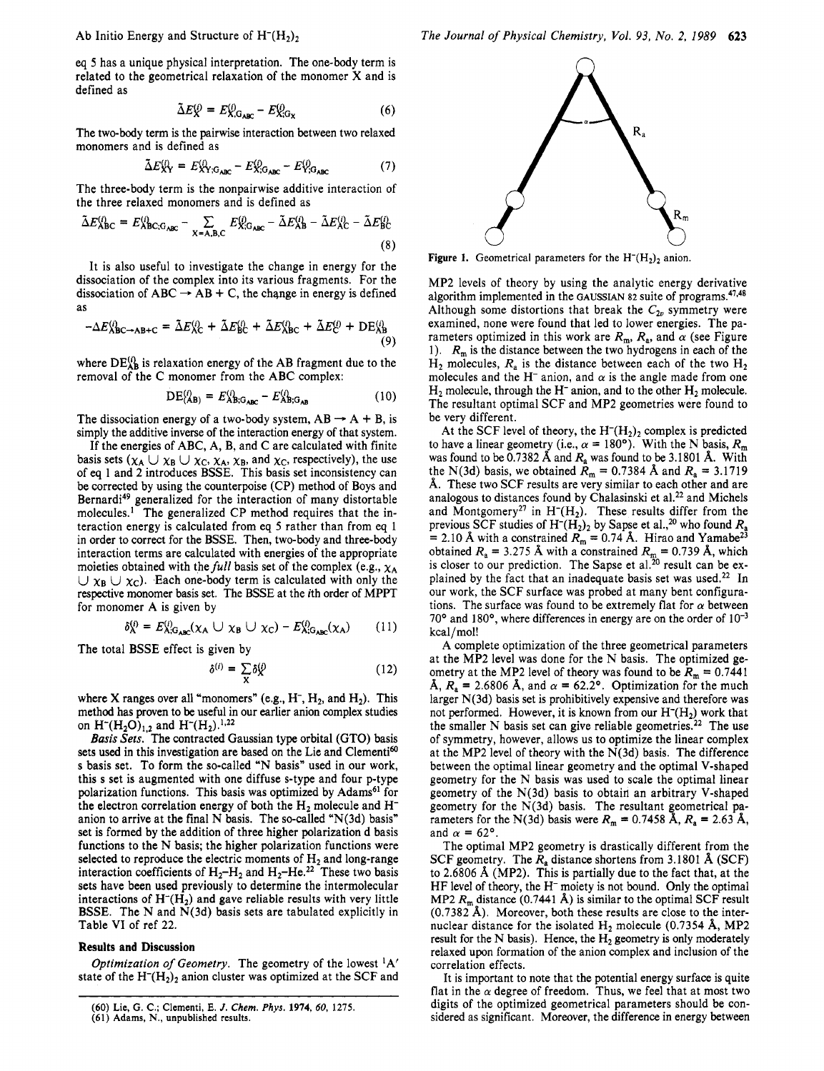eq 5 has a unique physical interpretation. The one-body term is related to the geometrical relaxation of the monomer **X** and is defined as

$$
\tilde{\Delta}E_{X}^{(i)} = E_{X,\mathbf{G}_{ABC}}^{(i)} - E_{X,\mathbf{G}_{X}}^{(i)}
$$
(6)

The two-body term is the pairwise interaction between two relaxed monomers and is defined as

$$
\tilde{\Delta}E_{XY}^{(i)} = E_{XY;G_{ABC}}^{(i)} - E_{X;G_{ABC}}^{(i)} - E_{Y;G_{ABC}}^{(i)}
$$
(7)

The three-body term is the nonpairwise additive interaction of the three relaxed monomers and is defined as

$$
\tilde{\Delta}E_{\rm ABC}^{(i)} = E_{\rm ABC;G_{\rm ABC}}^{(i)} - \sum_{X = A,B,C} E_{X;G_{\rm ABC}}^{(i)} - \tilde{\Delta}E_{AB}^{(i)} - \tilde{\Delta}E_{AC}^{(i)} - \tilde{\Delta}E_{BC}^{(i)}
$$
\n(8)

It is also useful to investigate the change in energy for the dissociation of the complex into its various fragments. For the It is also useful to investigate the change in energy for the<br>dissociation of the complex into its various fragments. For the<br>dissociation of  $ABC \rightarrow AB + C$ , the change in energy is defined as

$$
-\Delta E_{\text{ABC}\to\text{AB}+C}^{(i)} = \tilde{\Delta}E_{\text{AC}}^{(i)} + \tilde{\Delta}E_{\text{BC}}^{(i)} + \tilde{\Delta}E_{\text{ABC}}^{(i)} + \tilde{\Delta}E_{\text{AB}}^{(i)} + DE_{\text{AB}}^{(i)}
$$
\n(9)

where  $DE_{AB}^{(i)}$  is relaxation energy of the AB fragment due to the removal of the C monomer from the ABC complex:

$$
DE_{(AB)}^{(i)} = E_{AB;G_{ABC}}^{(i)} - E_{AB;G_{AB}}^{(i)}
$$
 (10)

The dissociation energy of a two-body system,  $AB \rightarrow A + B$ , is simply the additive inverse of the interaction energy of that system.

If the energies of ABC, A, B, and C are calculated with finite basis sets  $(\chi_A \cup \chi_B \cup \chi_C, \chi_A, \chi_B, \text{ and } \chi_C, \text{ respectively})$ , the use of eq 1 and 2 introduces BSSE. This basis set inconsistency can be corrected by using the counterpoise (CP) method of Boys and Bernardi<sup>49</sup> generalized for the interaction of many distortable molecules.<sup>1</sup> The generalized CP method requires that the interaction energy is calculated from eq **5** rather than from eq 1 in order to correct for the BSSE. Then, two-body and three-body interaction terms are calculated with energies of the appropriate moieties obtained with the *full* basis set of the complex (e.g.,  $\chi_A$  $\cup \chi_B \cup \chi_C$ ). Each one-body term is calculated with only the respective monomer basis set. The BSSE at the ith order of MPPT for monomer A is given by

$$
\delta_{\mathsf{A}}^{(i)} = E_{\mathsf{A};\mathsf{G}_{\mathsf{ABC}}}^{(i)}(\chi_{\mathsf{A}} \cup \chi_{\mathsf{B}} \cup \chi_{\mathsf{C}}) - E_{\mathsf{A};\mathsf{G}_{\mathsf{ABC}}}^{(i)}(\chi_{\mathsf{A}})
$$
(11)

The total BSSE effect is given by

$$
\delta^{(i)} = \sum_{\mathbf{X}} \delta^{(i)}_{\mathbf{X}} \tag{12}
$$

where X ranges over all "monomers" (e.g.,  $H^-$ ,  $H_2$ , and  $H_2$ ). This method has proven to be useful in our earlier anion complex studies on  $H^-(H_2O)_{1,2}$  and  $H^-(H_2).^{1,22}$ 

Basis Sets. The contracted Gaussian type orbital (GTO) basis sets used in this investigation are based on the Lie and Clementi<sup>60</sup> s basis set. To form the so-called "N basis" used in our work, this s set is augmented with one diffuse s-type and four p-type polarization functions. This basis was optimized by Adams<sup>61</sup> for the electron correlation energy of both the  $H_2$  molecule and  $H^$ anion to arrive at the final N basis. The so-called "N(3d) basis" set is formed by the addition of three higher polarization d basis functions to the N basis; the higher polarization functions were selected to reproduce the electric moments of  $H_2$  and long-range interaction coefficients of  $H_2-H_2$  and  $H_2-He^{2}$ . These two basis sets have been used previously to determine the intermolecular interactions of  $H<sup>-</sup>(H<sub>2</sub>)$  and gave reliable results with very little BSSE. The **N** and N(3d) basis sets are tabulated explicitly in Table **VI** of ref 22.

## **Results and Discussion**

Optimization *of* Geometry. The geometry of the lowest 'A' state of the  $H<sup>-</sup>(H<sub>2</sub>)<sub>2</sub>$  anion cluster was optimized at the SCF and



**Figure 1.** Geometrical parameters for the  $H<sup>-</sup>(H<sub>2</sub>)$ , anion.

MP2 levels of theory by using the analytic energy derivative algorithm implemented in the GAUSSIAN 82 suite of programs.<sup>47,48</sup> Although some distortions that break the  $C_{2v}$  symmetry were examined, none were found that led to lower energies. The parameters optimized in this work are  $R_m$ ,  $R_a$ , and  $\alpha$  (see Figure 1).  $R_m$  is the distance between the two hydrogens in each of the  $H_2$  molecules,  $R_a$  is the distance between each of the two  $H_2$ molecules and the H<sup>-</sup> anion, and  $\alpha$  is the angle made from one  $H_2$  molecule, through the H<sup>-</sup> anion, and to the other  $H_2$  molecule. The resultant optimal SCF and MP2 geometries were found to be very different.

At the SCF level of theory, the  $H^{-}(H_{2})_{2}$  complex is predicted to have a linear geometry (i.e.,  $\alpha = 180^{\circ}$ ). With the N basis,  $R_{\rm m}$ was found to be 0.7382 **A** and *R,* was found to be 3.1801 **A.** With the N(3d) basis, we obtained  $\tilde{R}_{\text{m}} = 0.7384$  Å and  $R_{\text{a}} = 3.1719$ **A.** These two SCF results are very similar to each other and are analogous to distances found by Chalasinski et al.<sup>22</sup> and Michels and Montgomery<sup>27</sup> in H<sup>-</sup>(H<sub>2</sub>). These results differ from the previous SCF studies of  $H<sup>-</sup>(H<sub>2</sub>)<sub>2</sub>$  by Sapse et al.,<sup>20</sup> who found  $R<sub>a</sub>$  $= 2.10$  Å with a constrained  $R_m = 0.74$  Å. Hirao and Yamabe<sup>23</sup> obtained  $R_a = 3.275 \text{ Å}$  with a constrained  $R_m = 0.739 \text{ Å}$ , which is closer to our prediction. The Sapse et al.<sup>20</sup> result can be explained by the fact that an inadequate basis set was used.<sup>22</sup> In our work, the SCF surface was probed at many bent configurations. The surface was found to be extremely flat for  $\alpha$  between  $70^{\circ}$  and 180°, where differences in energy are on the order of  $10^{-3}$ kcal/mol!

A complete optimization of the three geometrical parameters at the MP2 level was done for the N basis. The optimized geometry at the MP2 level of theory was found to be  $R_m = 0.7441$  $\AA$ ,  $R_a = 2.6806 \text{ Å}$ , and  $\alpha = 62.2^{\circ}$ . Optimization for the much larger N(3d) basis set is prohibitively expensive and therefore was not performed. However, it is known from our  $H<sup>-</sup>(H<sub>2</sub>)$  work that the smaller N basis set can give reliable geometries.<sup>22</sup> The use of symmetry, however, allows us to optimize the linear complex at the MP2 level of theory with the  $N(3d)$  basis. The difference between the optimal linear geometry and the optimal V-shaped geometry for the N basis was used to scale the optimal linear geometry of the  $N(3d)$  basis to obtain an arbitrary V-shaped geometry for the  $N(3d)$  basis. The resultant geometrical parameters for the N(3d) basis were  $R_m = 0.7458 \text{ Å}, R_a = 2.63 \text{ Å},$ and  $\alpha = 62^{\circ}$ .

The optimal MP2 geometry is drastically different from the SCF geometry. The  $R_a$  distance shortens from 3.1801 Å (SCF) to 2.6806 **A** (MP2). This is partially due to the fact that, at the HF level of theory, the **H-** moiety is not bound. Only the optimal MP2  $R_m$  distance (0.7441 Å) is similar to the optimal SCF result (0.7382 A). Moreover, both these results are close to the internuclear distance for the isolated  $H_2$  molecule (0.7354 Å, MP2 result for the N basis). Hence, the  $H_2$  geometry is only moderately relaxed upon formation of the anion complex and inclusion of the correlation effects.

It is important to note that the potential energy surface is quite flat in the  $\alpha$  degree of freedom. Thus, we feel that at most two digits of the optimized geometrical parameters should be considered as significant. Moreover, the difference in energy between

<sup>(60)</sup> Lie, G. C.; Clementi, E. *J. Chem. Phys.* **1974, 60, 1275.**  (61) **Adams,** N., unpublished results.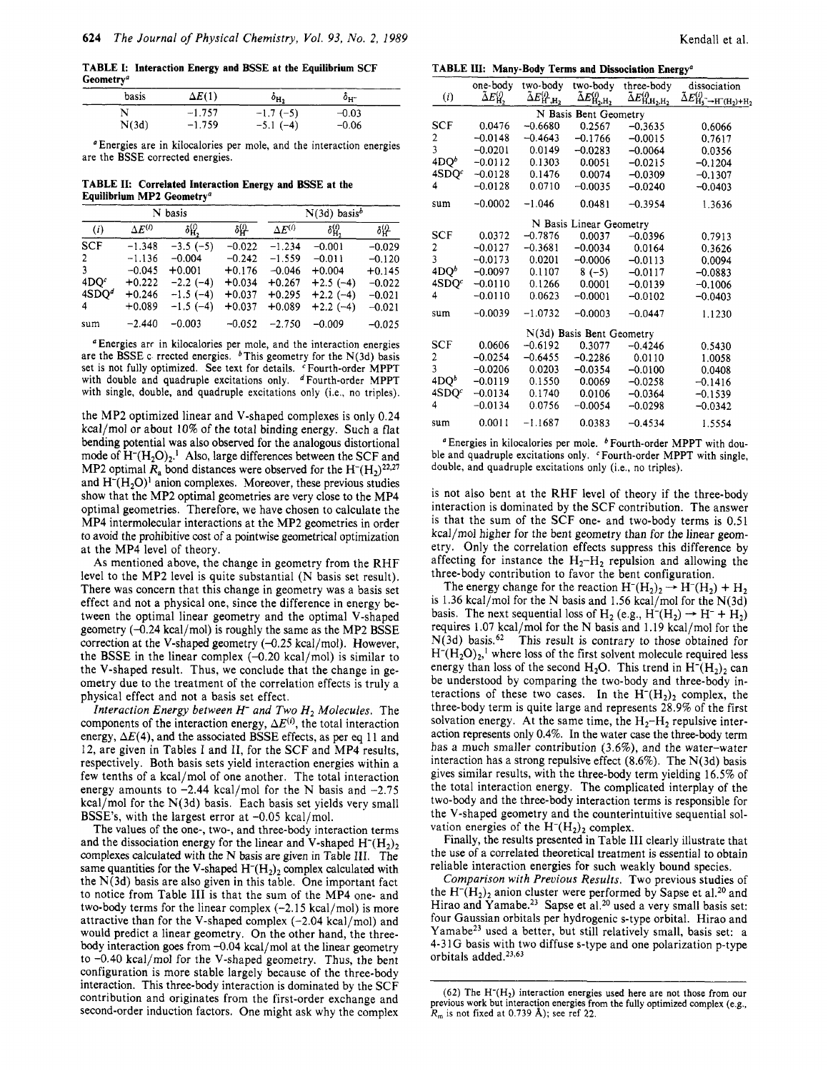**TABLE I: Interaction Energy and BSSE at the Equilibrium SCF Geometry"** 

| basis | $\Delta E(1)$ | $o_{\text{H}_2}$ | 0н-     |  |
|-------|---------------|------------------|---------|--|
|       | $-1.757$      | $-1.7(-5)$       | $-0.03$ |  |
| N(3d) | $-1.759$      | $-5.1(-4)$       | $-0.06$ |  |

*<sup>a</sup>*Energies are in kilocalories per mole, and the interaction energies are the BSSE corrected energies.

**TABLE 11: Correlated Interaction Energy and BSSE at the Equilibrium MP2 Geometry"** 

| N basis           |                  |            |          | $N(3d)$ basis <sup>b</sup> |                          |          |  |
|-------------------|------------------|------------|----------|----------------------------|--------------------------|----------|--|
| (i)               | $\Delta E^{(i)}$ | δĤ,        | 碑        | $\Delta E^{(i)}$           | $\delta_{\rm H_2}^{(i)}$ | 砕        |  |
| <b>SCF</b>        | $-1.348$         | $-3.5(-5)$ | $-0.022$ | $-1.234$                   | $-0.001$                 | $-0.029$ |  |
| 2                 | $-1.136$         | $-0.004$   | $-0.242$ | $-1.559$                   | $-0.011$                 | $-0.120$ |  |
| 3                 | $-0.045$         | $+0.001$   | $+0.176$ | $-0.046$                   | $+0.004$                 | $+0.145$ |  |
| 4DO <sup>c</sup>  | $+0.222$         | $-2.2(-4)$ | $+0.034$ | $+0.267$                   | $+2.5(-4)$               | $-0.022$ |  |
| 4SDO <sup>d</sup> | $+0.246$         | $-1.5(-4)$ | $+0.037$ | $+0.295$                   | $+2.2(-4)$               | $-0.021$ |  |
| 4                 | $+0.089$         | $-1.5(-4)$ | $+0.037$ | $+0.089$                   | $+2.2(-4)$               | $-0.021$ |  |
| sum               | $-2.440$         | $-0.003$   | $-0.052$ | $-2.750$                   | $-0.009$                 | $-0.025$ |  |

Energies arc in kilocalories per mole, and the interaction energies are the BSSE c rrected energies.  $\frac{b}{b}$ This geometry for the N(3d) basis set is not fully optimized. See text for details. CFourth-order MPPT with double and quadruple excitations only. d Fourth-order MPPT with single, double, and quadruple excitations only (i.e., no triples).

the MP2 optimized linear and V-shaped complexes is only 0.24 kcal/mol or about 10% of the total binding energy. Such a flat bending potential was also observed for the analogous distortional mode of  $H^-(H_2O)_2$ .<sup>1</sup> Also, large differences between the SCF and MP2 optimal  $R_a$  bond distances were observed for the H<sup>-</sup>(H<sub>2</sub>)<sup>22,27</sup> and  $H<sup>-</sup>(H<sub>2</sub>O)<sup>1</sup>$  anion complexes. Moreover, these previous studies show that the MP2 optimal geometries are very close to the MP4 optimal geometries. Therefore, we have chosen to calculate the MP4 intermolecular interactions at the MP2 geometries in order to avoid the prohibitive cost of a pointwise geometrical optimization at the MP4 level of theory.

As mentioned above, the change in geometry from the RHF level to the MP2 level is quite substantial (N basis set result). There was concern that this change in geometry was a basis set effect and not a physical one, since the difference in energy between the optimal linear geometry and the optimal V-shaped geometry (-0.24 kcal/mol) is roughly the same as the MP2 BSSE correction at the V-shaped geometry  $(-0.25 \text{ kcal/mol})$ . However, the BSSE in the linear complex  $(-0.20 \text{ kcal/mol})$  is similar to the V-shaped result. Thus, we conclude that the change in geometry due to the treatment of the correlation effects is truly a physical effect and not a basis set effect.

*Interaction Energy between H- and Two H2 Molecules.* The components of the interaction energy,  $\Delta E^{(i)}$ , the total interaction energy,  $\Delta E(4)$ , and the associated BSSE effects, as per eq 11 and 12, are given in Tables I and 11, for the SCF and MP4 results, respectively. Both basis sets yield interaction energies within a few tenths of a kcal/mol of one another. The total interaction energy amounts to  $-2.44$  kcal/mol for the N basis and  $-2.75$ kcal/mol for the N(3d) basis. Each basis set yields very small BSSE's, with the largest error at  $-0.05$  kcal/mol.

The values of the one-, two-, and three-body interaction terms and the dissociation energy for the linear and V-shaped  $H<sup>-</sup>(H<sub>2</sub>)<sub>2</sub>$ complexes calculated with the N basis are given in Table 111. The same quantities for the V-shaped  $H<sup>-</sup>(H<sub>2</sub>)<sub>2</sub>$  complex calculated with the N(3d) basis are also given in this table. One important fact to notice from Table **111** is that the sum of the MP4 one- and two-body terms for the linear complex  $(-2.15 \text{ kcal/mol})$  is more attractive than for the V-shaped complex  $(-2.04 \text{ kcal/mol})$  and would predict a linear geometry. On the other hand, the threebody interaction goes from -0.04 kcal/mol at the linear geometry to -0.40 kcal/mol for the V-shaped geometry. Thus, the bent configuration is more stable largely because of the three-body interaction. This three-body interaction is dominated by the SCF contribution and originates from the first-order exchange and second-order induction factors. One might ask why the complex

**TABLE III: Many-Body Terms and Dissociation Energy"** 

|                         |                  |                                                    |                                                    | <b>TADLE III.</b> IVIANY-DOUY TEHIS AND DISSOCIATION ENERY |                                                                              |
|-------------------------|------------------|----------------------------------------------------|----------------------------------------------------|------------------------------------------------------------|------------------------------------------------------------------------------|
| (i)                     | one-body<br>ÃЕŲ, | two-body<br>$\tilde{\Delta} E_{\rm H^*,H_2}^{(i)}$ | two-body<br>$\tilde{\Delta} E_{\rm H_2,H_2}^{(i)}$ | three-body<br>$\tilde{\Delta} E_{\rm H,H_{2},H_{2}}^{(i)}$ | dissociation                                                                 |
|                         |                  |                                                    |                                                    |                                                            | $\tilde{\Delta} E_{\rm H_5\rightarrow H\bar{}}^{(i)} \rightarrow H\bar{H}_2$ |
|                         |                  |                                                    | N Basis Bent Geometry                              |                                                            |                                                                              |
| <b>SCF</b>              | 0.0476           | $-0.6680$                                          | 0.2567                                             | $-0.3635$                                                  | 0.6066                                                                       |
| 2                       | $-0.0148$        | $-0.4643$                                          | $-0.1766$                                          | $-0.0015$                                                  | 0.7617                                                                       |
| $\overline{\mathbf{3}}$ | $-0.0201$        | 0.0149                                             | $-0.0283$                                          | $-0.0064$                                                  | 0.0356                                                                       |
| 4DO <sup>b</sup>        | $-0.0112$        | 0.1303                                             | 0.0051                                             | $-0.0215$                                                  | $-0.1204$                                                                    |
| 4SDQ <sup>c</sup>       | $-0.0128$        | 0.1476                                             | 0.0074                                             | $-0.0309$                                                  | $-0.1307$                                                                    |
| 4                       | $-0.0128$        | 0.0710                                             | $-0.0035$                                          | $-0.0240$                                                  | $-0.0403$                                                                    |
| sum                     | $-0.0002$        | $-1.046$                                           | 0.0481                                             | $-0.3954$                                                  | 1.3636                                                                       |
|                         |                  |                                                    | N Basis Linear Geometry                            |                                                            |                                                                              |
| <b>SCF</b>              | 0.0372           | $-0.7876$                                          | 0.0037                                             | $-0.0396$                                                  | 0.7913                                                                       |
| 2                       | $-0.0127$        | $-0.3681$                                          | $-0.0034$                                          | 0.0164                                                     | 0.3626                                                                       |
| 3                       | $-0.0173$        | 0.0201                                             | $-0.0006$                                          | $-0.0113$                                                  | 0.0094                                                                       |
| 4DO <sup>b</sup>        | $-0.0097$        | 0.1107                                             | $8(-5)$                                            | $-0.0117$                                                  | $-0.0883$                                                                    |
| 4SDQ <sup>c</sup>       | $-0.0110$        | 0.1266                                             | 0.0001                                             | $-0.0139$                                                  | $-0.1006$                                                                    |
| 4                       | $-0.0110$        | 0.0623                                             | $-0.0001$                                          | $-0.0102$                                                  | $-0.0403$                                                                    |
| sum                     | $-0.0039$        | $-1.0732$                                          | $-0.0003$                                          | $-0.0447$                                                  | 1.1230                                                                       |
|                         |                  |                                                    | N(3d) Basis Bent Geometry                          |                                                            |                                                                              |
| SCF                     | 0.0606           | $-0.6192$                                          | 0.3077                                             | $-0.4246$                                                  | 0.5430                                                                       |
| 2                       | $-0.0254$        | $-0.6455$                                          | $-0.2286$                                          | 0.0110                                                     | 1.0058                                                                       |
| 3                       | $-0.0206$        | 0.0203                                             | $-0.0354$                                          | $-0.0100$                                                  | 0.0408                                                                       |
| 4DQ <sup>b</sup>        | $-0.0119$        | 0.1550                                             | 0.0069                                             | $-0.0258$                                                  | $-0.1416$                                                                    |
| 4SDQ <sup>c</sup>       | $-0.0134$        | 0.1740                                             | 0.0106                                             | $-0.0364$                                                  | $-0.1539$                                                                    |
| 4                       | $-0.0134$        | 0.0756                                             | $-0.0054$                                          | $-0.0298$                                                  | $-0.0342$                                                                    |
| sum                     | 0.0011           | $-1.1687$                                          | 0.0383                                             | $-0.4534$                                                  | 1.5554                                                                       |
|                         |                  |                                                    |                                                    |                                                            |                                                                              |

<sup>a</sup> Energies in kilocalories per mole.  $\circ$  Fourth-order MPPT with double and quadruple excitations only. Fourth-order MPPT with single, double, and quadruple excitations only (i.e., no triples).

is not also bent at the RHF level of theory if the three-body interaction is dominated by the SCF contribution. The answer is that the sum of the SCF one- and two-body terms is 0.51 kcal/mol higher for the bent geometry than for the linear geometry. Only the correlation effects suppress this difference by affecting for instance the  $H_2-H_2$  repulsion and allowing the three-body contribution to favor the bent configuration.

The energy change for the reaction  $H^-(H_2)_2 \rightarrow H^-(H_2) + H_2$ Ine energy change for the reaction  $H^-(H_2)_2 \rightarrow H^-(H_2) + H_2$ <br>is 1.36 kcal/mol for the N basis and 1.56 kcal/mol for the N(3d)<br>basis. The next sequential loss of H<sub>2</sub> (e.g., H<sup>-</sup>(H<sub>2</sub>)  $\rightarrow$  H<sup>-</sup> + H<sub>2</sub>) requires 1.07 kcal/mol for the N basis and 1.19 kcal/mol for the  $N(3d)$  basis.<sup>62</sup> This result is contrary to those obtained for  $H<sup>-</sup>(H<sub>2</sub>O)<sub>2</sub>$ ,<sup>1</sup> where loss of the first solvent molecule required less energy than loss of the second  $H_2O$ . This trend in  $H^-(H_2)_2$  can be understood by comparing the two-body and three-body interactions of these two cases. In the  $H<sup>-</sup>(H<sub>2</sub>)<sub>2</sub>$  complex, the three-body term is quite large and represents 28.9% of the first solvation energy. At the same time, the  $H_2-H_2$  repulsive interaction represents only 0.4%. In the water case the three-body term has a much smaller contribution (3.6%), and the water-water interaction has a strong repulsive effect  $(8.6\%)$ . The N(3d) basis gives similar results, with the three-body term yielding 16.5% of the total interaction energy. The complicated interplay of the two-body and the three-body interaction terms is responsible for the V-shaped geometry and the counterintuitive sequential solvation energies of the  $H<sup>-</sup>(H<sub>2</sub>)<sub>2</sub>$  complex.

Finally, the results presented in Table **111** clearly illustrate that the use of a correlated theoretical treatment is essential to obtain reliable interaction energies for such weakly bound species.

*Comparison with Previous Results.* Two previous studies of the  $H<sup>-</sup>(H<sub>2</sub>)<sub>2</sub>$  anion cluster were performed by Sapse et al.<sup>20</sup> and Hirao and Yamabe.<sup>23</sup> Sapse et al.<sup>20</sup> used a very small basis set: four Gaussian orbitals per hydrogenic s-type orbital. Hirao and Yamabe<sup>23</sup> used a better, but still relatively small, basis set: a 4-31G basis with two diffuse s-type and one polarization p-type orbitals added.<sup>23,63</sup>

 $(62)$  The  $H^{-}(H_{2})$  interaction energies used here are not those from our previous work but interaction energies from the fully optimized complex (e.g., *R,* is not fixed at **0.739 A);** see ref 22.